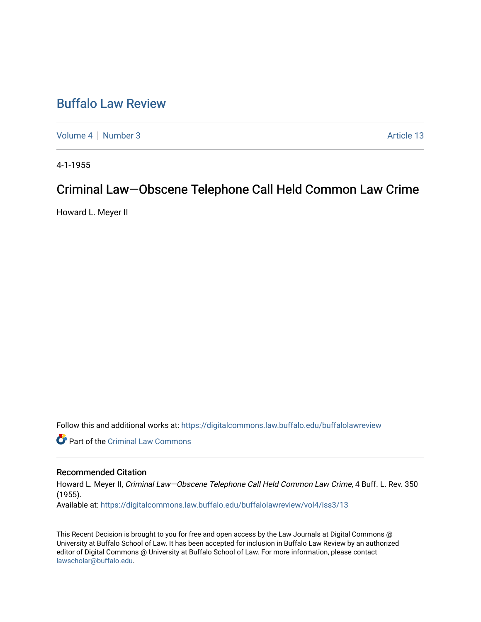# [Buffalo Law Review](https://digitalcommons.law.buffalo.edu/buffalolawreview)

[Volume 4](https://digitalcommons.law.buffalo.edu/buffalolawreview/vol4) | [Number 3](https://digitalcommons.law.buffalo.edu/buffalolawreview/vol4/iss3) Article 13

4-1-1955

# Criminal Law—Obscene Telephone Call Held Common Law Crime

Howard L. Meyer II

Follow this and additional works at: [https://digitalcommons.law.buffalo.edu/buffalolawreview](https://digitalcommons.law.buffalo.edu/buffalolawreview?utm_source=digitalcommons.law.buffalo.edu%2Fbuffalolawreview%2Fvol4%2Fiss3%2F13&utm_medium=PDF&utm_campaign=PDFCoverPages) 

Part of the [Criminal Law Commons](http://network.bepress.com/hgg/discipline/912?utm_source=digitalcommons.law.buffalo.edu%2Fbuffalolawreview%2Fvol4%2Fiss3%2F13&utm_medium=PDF&utm_campaign=PDFCoverPages) 

## Recommended Citation

Howard L. Meyer II, Criminal Law—Obscene Telephone Call Held Common Law Crime, 4 Buff. L. Rev. 350 (1955). Available at: [https://digitalcommons.law.buffalo.edu/buffalolawreview/vol4/iss3/13](https://digitalcommons.law.buffalo.edu/buffalolawreview/vol4/iss3/13?utm_source=digitalcommons.law.buffalo.edu%2Fbuffalolawreview%2Fvol4%2Fiss3%2F13&utm_medium=PDF&utm_campaign=PDFCoverPages) 

This Recent Decision is brought to you for free and open access by the Law Journals at Digital Commons @ University at Buffalo School of Law. It has been accepted for inclusion in Buffalo Law Review by an authorized editor of Digital Commons @ University at Buffalo School of Law. For more information, please contact [lawscholar@buffalo.edu](mailto:lawscholar@buffalo.edu).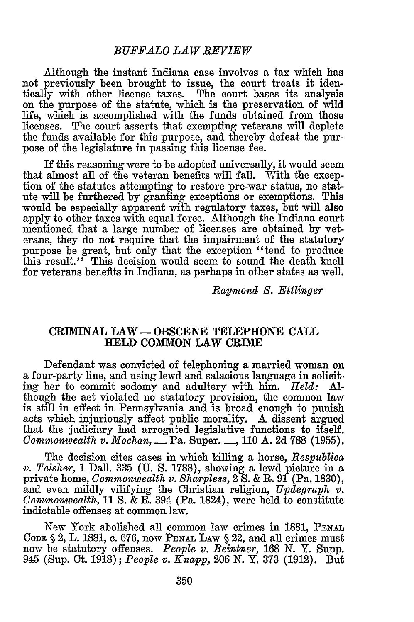Although the instant Indiana case involves a tax which has not previously been brought to issue, the court treats it identically with other license taxes. The court bases its analysis on the purpose of the statute, which is the preservation of wild life, which is accomplished with the funds obtained from those licenses. The court asserts that exempting veterans will deplete the funds available for this purpose, and thereby defeat the purpose of the legislature in passing this license fee.

If this reasoning were to be adopted universally, it would seem that almost all of the veteran benefits will fall. With the exception of the statutes attempting to restore pre-war status, no statute will be furthered by granting exceptions or exemptions. This would be especially apparent with regulatory taxes, but will also apply to other taxes with equal force. Although the Indiana court mentioned that a large number of licenses are obtained by veterans, they do not require that the impairment of the statutory purpose be great, but only that the exception "tend to produce this result." This decision would seem to sound the death knell for veterans benefits in Indiana, as perhaps in other states as well.

*Raymond S. Ettlinger*

### CRIMINAL LAW - OBSCENE TELEPHONE CALL HELD COMMON LAW CRIME

Defendant was convicted of telephoning a married woman on a four-party line, and using lewd and salacious language in soliciting her to commit sodomy and adultery with him. *Held:* Although the act violated no statutory provision, the common law is still in effect in Pennsylvania and is broad enough to punish acts which injuriously affect public morality. A dissent argued that the judiciary had arrogated legislative functions to itself. *Commonwealth v. Mochan, \_\_* Pa. Super. **-,** 110 **A.** 2d 788 (1955).

The decision cites cases in which killing a horse, *Respublica v. Teisher,* 1 Dall. 335 **(U. S.** 1788), showing a lewd picture in a private home, *Commonwealth v. Sharpless,* 2 S. & R. 91 (Pa. 1830), and even mildly vilifying the Christian religion, *Updegraph v. Commonwealth,* 11 *S.* **&** R. 394 (Pa. 1824), were held to constitute indictable offenses at common law.

New York abolished all common law crimes in 1881, PENAL **CODE** § 2, L. 1881, c. 676, now PENAL LAw § 22, and all crimes must now be statutory offenses. *People v. Beintner,* 168 N. Y. Supp. 945 (Sup. Ct. 1918); *People v. Knapp,* 206 N. Y. 373 (1912). But